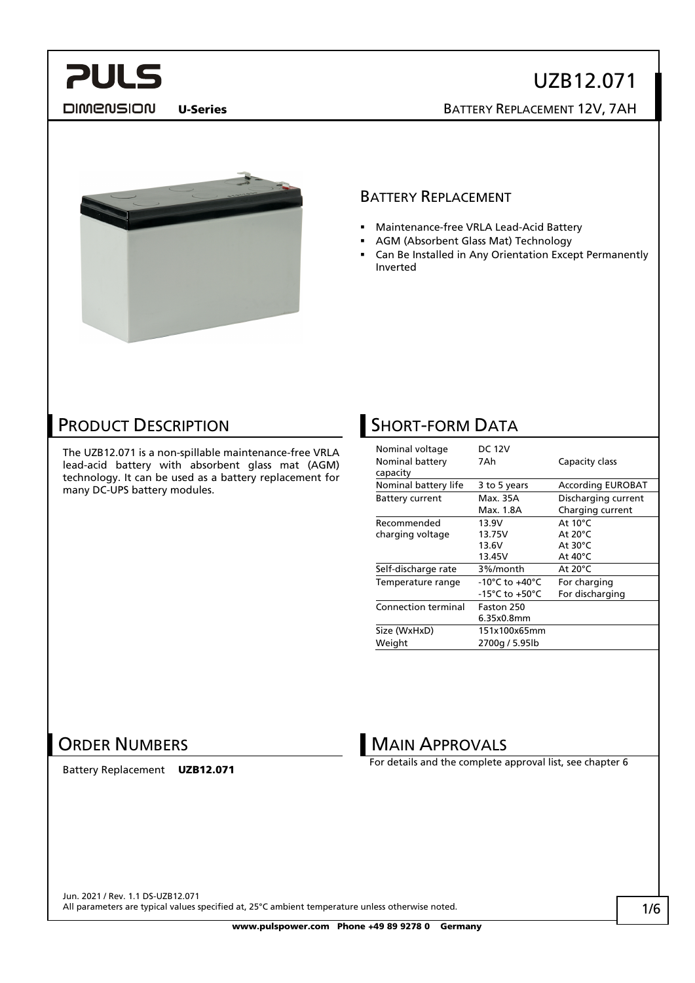**DIMENSION** 

UZB12.071 U-Series BATTERY REPLACEMENT 12V, 7AH



#### BATTERY REPLACEMENT

- Maintenance-free VRLA Lead-Acid Battery
- AGM (Absorbent Glass Mat) Technology
- Can Be Installed in Any Orientation Except Permanently Inverted

### PRODUCT DESCRIPTION

The UZB12.071 is a non-spillable maintenance-free VRLA lead-acid battery with absorbent glass mat (AGM) technology. It can be used as a battery replacement for many DC-UPS battery modules.

## **SHORT-FORM DATA**

| Nominal voltage<br>Nominal battery<br>capacity | <b>DC 12V</b><br>7Ah               | Capacity class           |
|------------------------------------------------|------------------------------------|--------------------------|
| Nominal battery life                           | 3 to 5 years                       | <b>According EUROBAT</b> |
| <b>Battery current</b>                         | Max. 35A                           | Discharging current      |
|                                                | Max. 1.8A                          | Charging current         |
| Recommended                                    | 13.9V                              | At $10^{\circ}$ C        |
| charging voltage                               | 13.75V                             | At $20^{\circ}$ C        |
|                                                | 13.6V                              | At $30^{\circ}$ C        |
|                                                | 13.45V                             | At $40^{\circ}$ C        |
| Self-discharge rate                            | 3%/month                           | At 20°C                  |
| Temperature range                              | $-10^{\circ}$ C to $+40^{\circ}$ C | For charging             |
|                                                | -15°C to +50°C                     | For discharging          |
| <b>Connection terminal</b>                     | Faston 250                         |                          |
|                                                | 6.35x0.8mm                         |                          |
| Size (WxHxD)                                   | 151x100x65mm                       |                          |
| Weight                                         | 2700g / 5.95lb                     |                          |

### ORDER NUMBERS

Battery Replacement UZB12.071

**MAIN APPROVALS** 

For details and the complete approval list, see chapter [6](#page-3-0)

Jun. 2021 / Rev. 1.1 DS-UZB12.071 All parameters are typical values specified at, 25°C ambient temperature unless otherwise noted.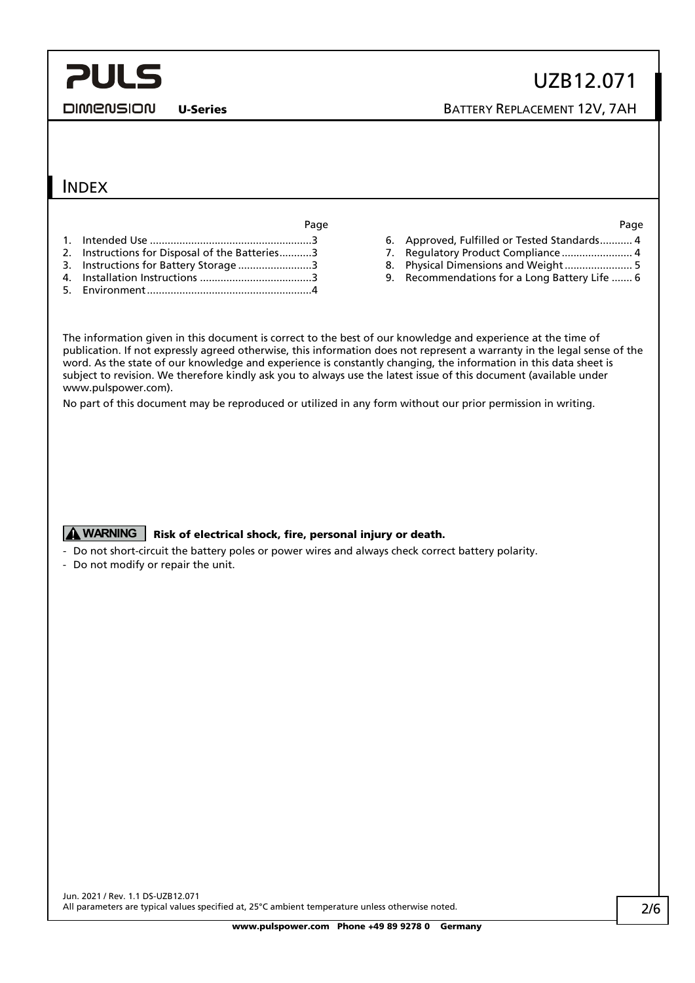DIMENSION

U-Series BATTERY REPLACEMENT 12V, 7AH

### INDEX

Page Page

- 1. Intended Use [.......................................................3](#page-2-0)
- 2. Instructions [for Disposal of the Batteries...........3](#page-2-1)
- 3. [Instructions for Battery Storage](#page-2-2) .........................3
- 4. Installation Instructions [......................................3](#page-2-3) 5. [Environment........................................................4](#page-3-1)

- 6. [Approved, Fulfilled or Tested Standards...........](#page-3-0) 4
- 7. [Regulatory Product Compliance](#page-3-2) ............................ 4
- 8. [Physical Dimensions and Weight.......................](#page-4-0) 5
- 9. [Recommendations for a Long Battery Life](#page-5-0) ....... 6

The information given in this document is correct to the best of our knowledge and experience at the time of publication. If not expressly agreed otherwise, this information does not represent a warranty in the legal sense of the word. As the state of our knowledge and experience is constantly changing, the information in this data sheet is subject to revision. We therefore kindly ask you to always use the latest issue of this document (available under www.pulspower.com).

No part of this document may be reproduced or utilized in any form without our prior permission in writing.

#### **A WARNING** Risk of electrical shock, fire, personal injury or death.

- Do not short-circuit the battery poles or power wires and always check correct battery polarity.
- Do not modify or repair the unit.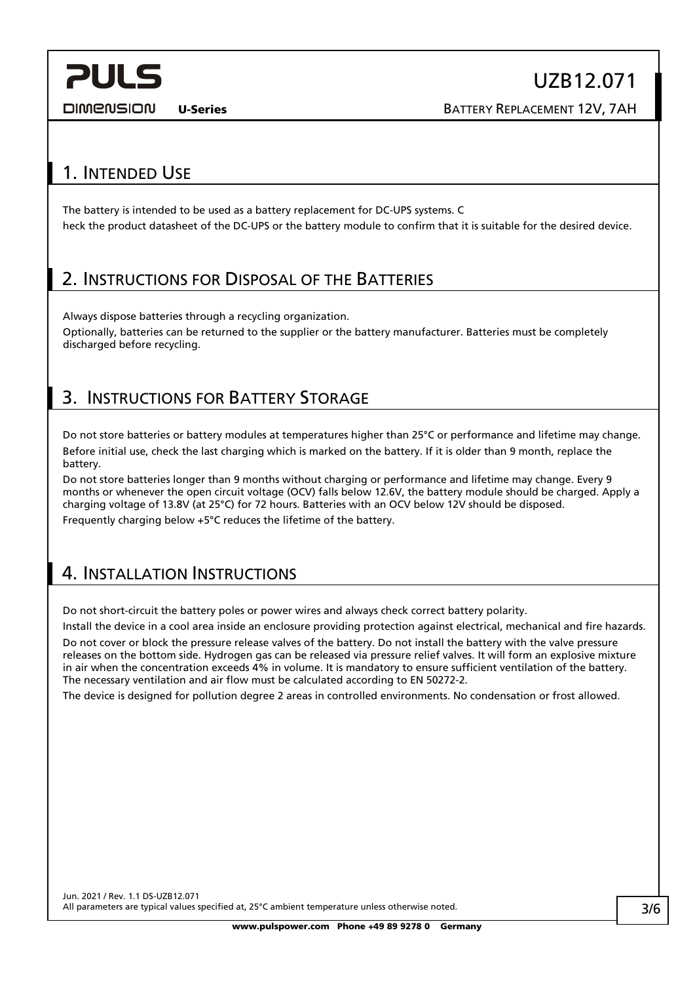DIMENSION

U-Series BATTERY REPLACEMENT 12V, 7AH

### <span id="page-2-0"></span>1. INTENDED USE

The battery is intended to be used as a battery replacement for DC-UPS systems. C heck the product datasheet of the DC-UPS or the battery module to confirm that it is suitable for the desired device.

### <span id="page-2-1"></span>2. INSTRUCTIONS FOR DISPOSAL OF THE BATTERIES

Always dispose batteries through a recycling organization. Optionally, batteries can be returned to the supplier or the battery manufacturer. Batteries must be completely discharged before recycling.

### <span id="page-2-2"></span>3. INSTRUCTIONS FOR BATTERY STORAGE

Do not store batteries or battery modules at temperatures higher than 25°C or performance and lifetime may change. Before initial use, check the last charging which is marked on the battery. If it is older than 9 month, replace the battery.

Do not store batteries longer than 9 months without charging or performance and lifetime may change. Every 9 months or whenever the open circuit voltage (OCV) falls below 12.6V, the battery module should be charged. Apply a charging voltage of 13.8V (at 25°C) for 72 hours. Batteries with an OCV below 12V should be disposed. Frequently charging below +5°C reduces the lifetime of the battery.

### <span id="page-2-3"></span>4. INSTALLATION INSTRUCTIONS

Do not short-circuit the battery poles or power wires and always check correct battery polarity.

Install the device in a cool area inside an enclosure providing protection against electrical, mechanical and fire hazards.

Do not cover or block the pressure release valves of the battery. Do not install the battery with the valve pressure releases on the bottom side. Hydrogen gas can be released via pressure relief valves. It will form an explosive mixture in air when the concentration exceeds 4% in volume. It is mandatory to ensure sufficient ventilation of the battery. The necessary ventilation and air flow must be calculated according to EN 50272-2.

The device is designed for pollution degree 2 areas in controlled environments. No condensation or frost allowed.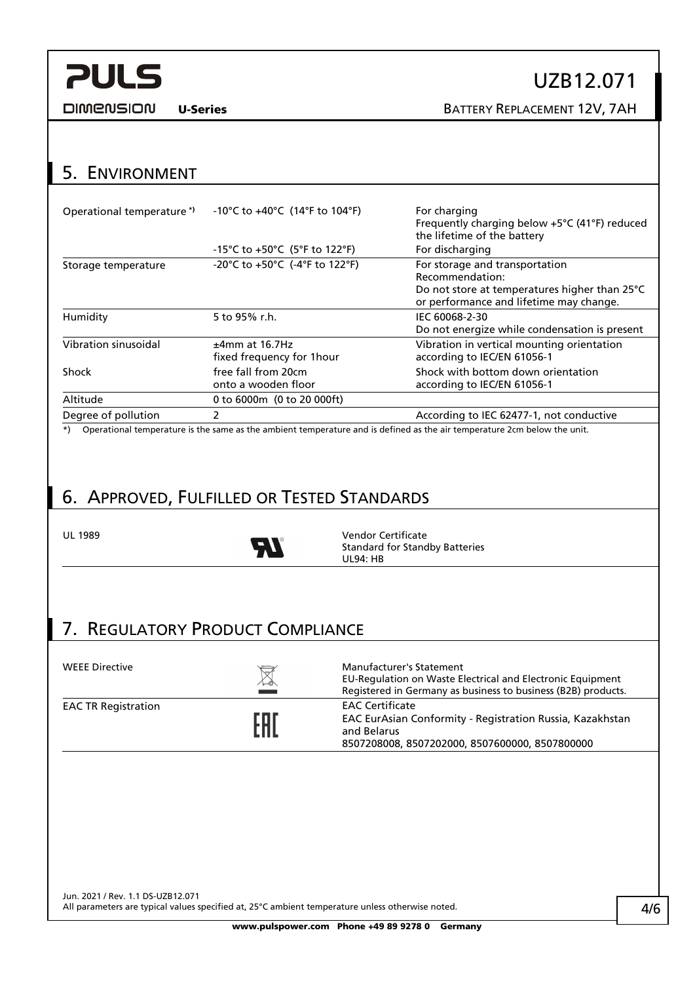**DIMENSION** 

## UZB12.071

U-Series BATTERY REPLACEMENT 12V, 7AH

### <span id="page-3-1"></span>5. ENVIRONMENT

| Operational temperature*)                                                                                                                                                                                                                                                                                                   | -10°C to +40°C (14°F to 104°F)                                        | For charging<br>Frequently charging below +5°C (41°F) reduced<br>the lifetime of the battery                                                                                                                                     |
|-----------------------------------------------------------------------------------------------------------------------------------------------------------------------------------------------------------------------------------------------------------------------------------------------------------------------------|-----------------------------------------------------------------------|----------------------------------------------------------------------------------------------------------------------------------------------------------------------------------------------------------------------------------|
|                                                                                                                                                                                                                                                                                                                             | -15°C to +50°C (5°F to 122°F)                                         | For discharging                                                                                                                                                                                                                  |
| Storage temperature                                                                                                                                                                                                                                                                                                         | -20°C to +50°C (-4°F to 122°F)                                        | For storage and transportation<br>Recommendation:<br>Do not store at temperatures higher than 25°C<br>or performance and lifetime may change.                                                                                    |
| Humidity                                                                                                                                                                                                                                                                                                                    | 5 to 95% r.h.                                                         | IEC 60068-2-30<br>Do not energize while condensation is present                                                                                                                                                                  |
| Vibration sinusoidal                                                                                                                                                                                                                                                                                                        | $±4mm$ at 16.7Hz<br>fixed frequency for 1 hour                        | Vibration in vertical mounting orientation<br>according to IEC/EN 61056-1                                                                                                                                                        |
| Shock                                                                                                                                                                                                                                                                                                                       | free fall from 20cm<br>onto a wooden floor                            | Shock with bottom down orientation<br>according to IEC/EN 61056-1                                                                                                                                                                |
| Altitude                                                                                                                                                                                                                                                                                                                    | 0 to 6000m (0 to 20 000ft)                                            |                                                                                                                                                                                                                                  |
| Degree of pollution                                                                                                                                                                                                                                                                                                         | $\mathcal{P}$                                                         | According to IEC 62477-1, not conductive                                                                                                                                                                                         |
| $\mathbf{a}$ and $\mathbf{a}$ and $\mathbf{a}$ and $\mathbf{a}$ and $\mathbf{a}$ and $\mathbf{a}$ and $\mathbf{a}$ and $\mathbf{a}$ and $\mathbf{a}$ and $\mathbf{a}$ and $\mathbf{a}$ and $\mathbf{a}$ and $\mathbf{a}$ and $\mathbf{a}$ and $\mathbf{a}$ and $\mathbf{a}$ and $\mathbf{a}$ and<br>$\cdot$ $\cdot$ $\cdot$ | $\mathbf{r}$ , and $\mathbf{r}$ , and $\mathbf{r}$<br>$\sim$ 1 $\sim$ | $\mathbf{r}$ , and the set of the set of the set of the set of the set of the set of the set of the set of the set of the set of the set of the set of the set of the set of the set of the set of the set of the set of the set |

\*) Operational temperature is the same as the ambient temperature and is defined as the air temperature 2cm below the unit.

## <span id="page-3-0"></span>6. APPROVED, FULFILLED OR TESTED STANDARDS



UL 1989 Vendor Certificate<br>
The Standard for Standard Standard Standard Standard Standard Standard Standard Standard Standard Standard St Standard for Standby Batteries UL94: HB

## <span id="page-3-2"></span>7. REGULATORY PRODUCT COMPLIANCE

| <b>WEEE Directive</b>      | $\boxtimes$<br>المستحدث | <b>Manufacturer's Statement</b><br>EU-Regulation on Waste Electrical and Electronic Equipment<br>Registered in Germany as business to business (B2B) products. |
|----------------------------|-------------------------|----------------------------------------------------------------------------------------------------------------------------------------------------------------|
| <b>EAC TR Registration</b> | EAT                     | <b>EAC Certificate</b><br>EAC EurAsian Conformity - Registration Russia, Kazakhstan<br>and Belarus<br>8507208008, 8507202000, 8507600000, 8507800000           |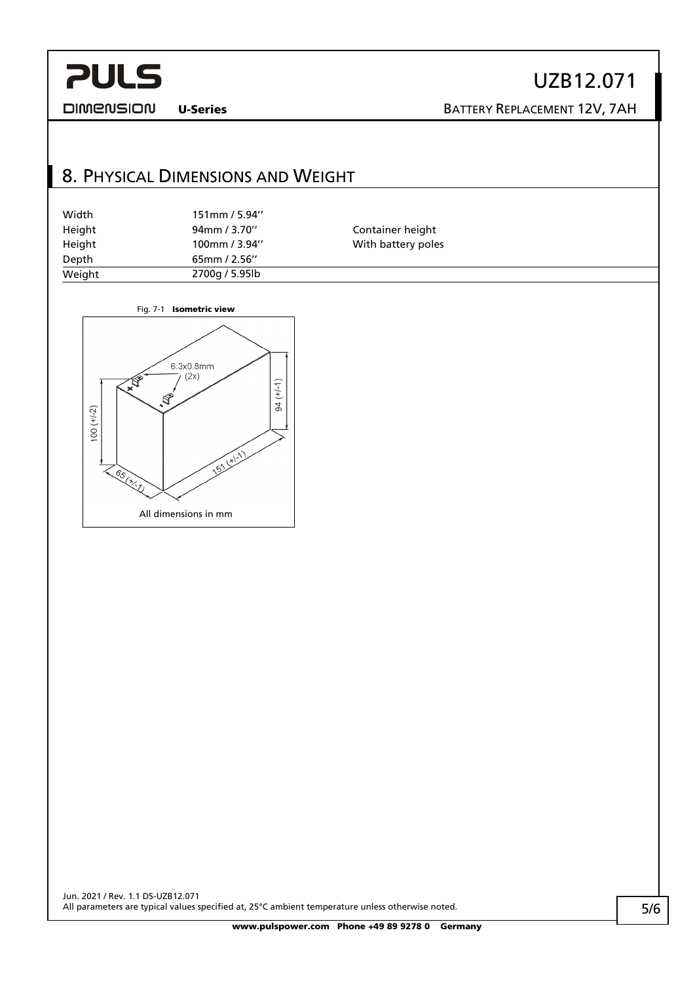UZB12.071

**DIMENSION** 

U-Series BATTERY REPLACEMENT 12V, 7AH

## <span id="page-4-0"></span>8. PHYSICAL DIMENSIONS AND WEIGHT

| Width  | $151$ mm / 5.94" |                    |  |
|--------|------------------|--------------------|--|
| Height | 94mm / 3.70"     | Container height   |  |
| Height | 100mm / 3.94"    | With battery poles |  |
| Depth  | $65$ mm / 2.56"  |                    |  |
| Weight | 2700g / 5.95lb   |                    |  |
|        |                  |                    |  |